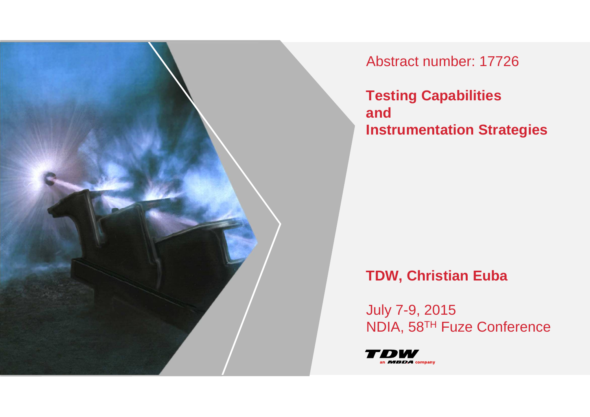

Abstract number: 17726

**Testing Capabilities and Instrumentation Strategies**

# **TDW, Christian Euba**

July 7-9, 2015NDIA, 58TH Fuze Conference

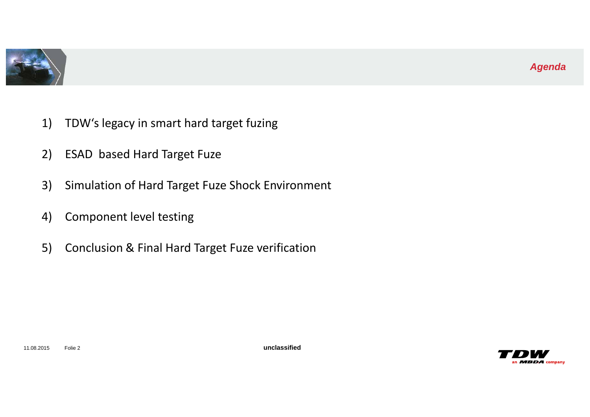

- 1) TDW's legacy in smart hard target fuzing
- 2) ESAD based Hard Target Fuze
- 3) Simulation of Hard Target Fuze Shock Environment
- 4) Component level testing
- 5) Conclusion & Final Hard Target Fuze verification

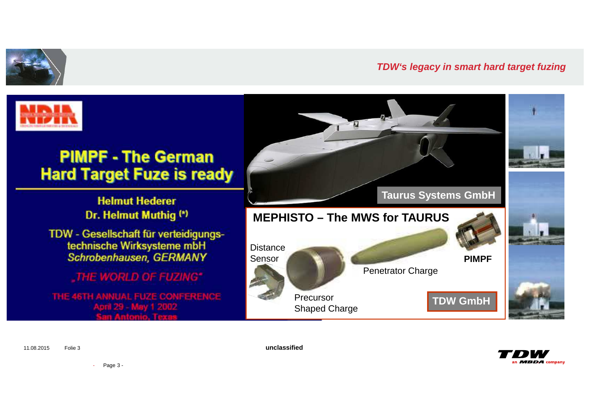



11.08.2015 Folie 3

**unclassified**



- Page 3 -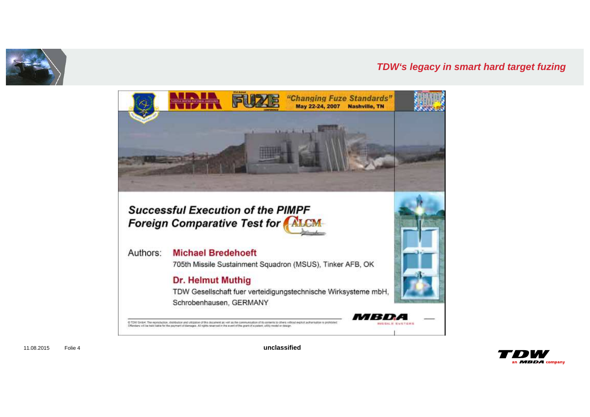





11.08.2015 Folie 4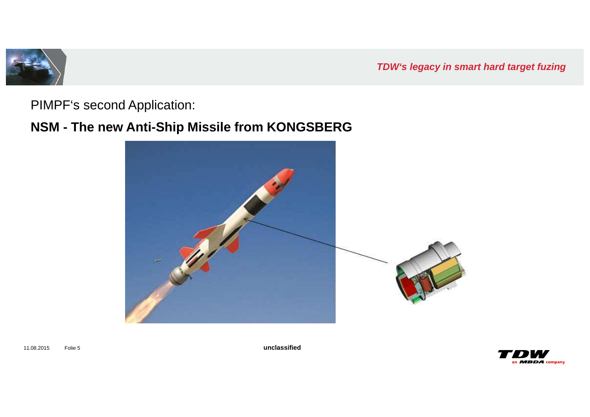

PIMPF's second Application:

## **NSM - The new Anti-Ship Missile from KONGSBERG**



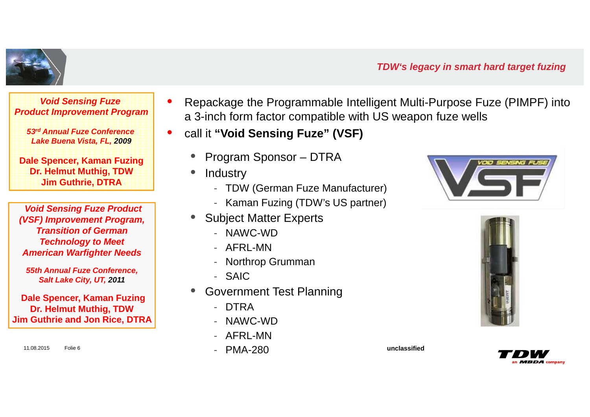

**Void Sensing Fuze Product Improvement Program**

**53rd Annual Fuze Conference Lake Buena Vista, FL, 2009**

**Dale Spencer, Kaman FuzingDr. Helmut Muthig, TDWJim Guthrie, DTRA**

**Void Sensing Fuze Product (VSF) Improvement Program, Transition of German Technology to Meet American Warfighter Needs** 

**55th Annual Fuze Conference, Salt Lake City, UT, 2011**

**Dale Spencer, Kaman FuzingDr. Helmut Muthig, TDWJim Guthrie and Jon Rice, DTRA**

11.08.2015 Folie 6

- • Repackage the Programmable Intelligent Multi-Purpose Fuze (PIMPF) into a 3-inch form factor compatible with US weapon fuze wells
- $\bullet$  call it **"Void Sensing Fuze" (VSF)**
	- •Program Sponsor – DTRA
	- •**Industry** 
		- TDW (German Fuze Manufacturer)
		- Kaman Fuzing (TDW's US partner)
	- • Subject Matter Experts
		- NAWC-WD<br>- AFRL-MN
		- AFRL-MN
		- Northrop Grumman<br>- Տ∆IC
		- SAIC
	- **Government Test Planning** •
		- DTRA
		- NAWC-WD
		- AFRL-MN
		- PMA-280







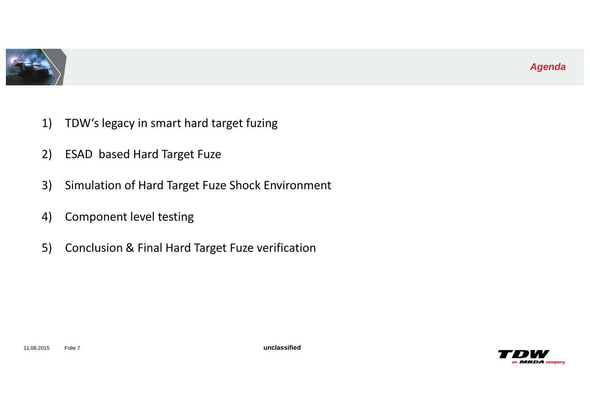

- 1) TDW's legacy in smart hard target fuzing
- 2) ESAD based Hard Target Fuze
- 3) Simulation of Hard Target Fuze Shock Environment
- 4) Component level testing
- 5) Conclusion & Final Hard Target Fuze verification

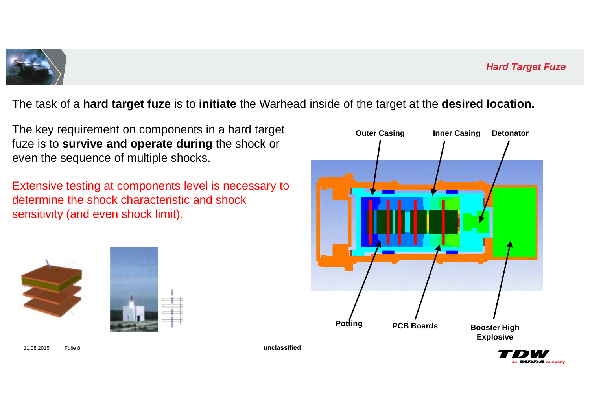

The task of a **hard target fuze** is to **initiate** the Warhead inside of the target at the **desired location.**

The key requirement on components in a hard target fuze is to **survive and operate during** the shock or even the sequence of multiple shocks.

Extensive testing at components level is necessary to determine the shock characteristic and shock sensitivity (and even shock limit).







11.08.2015 Folie 8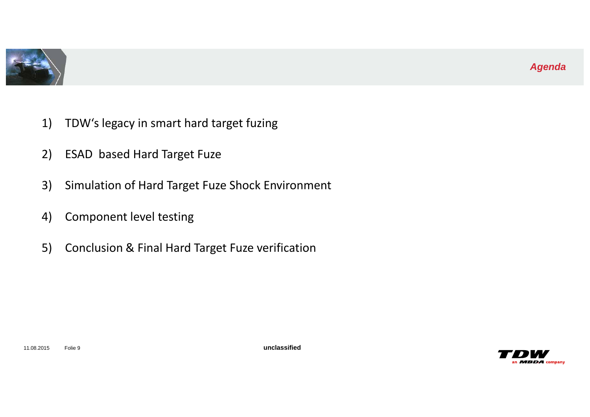

- 1) TDW's legacy in smart hard target fuzing
- 2) ESAD based Hard Target Fuze
- 3) Simulation of Hard Target Fuze Shock Environment
- 4) Component level testing
- 5) Conclusion & Final Hard Target Fuze verification

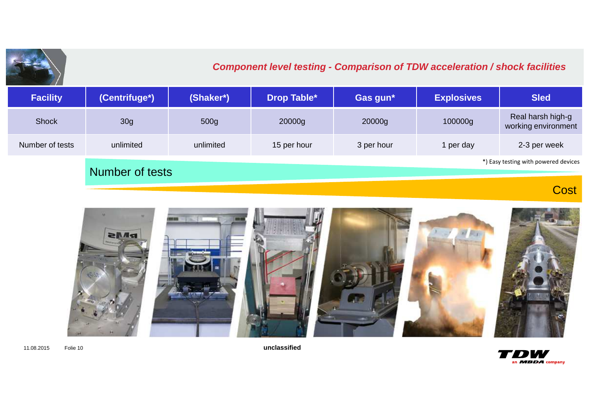

### **Component level testing - Comparison of TDW acceleration / shock facilities**

| <b>Facility</b> | (Centrifuge*)   | (Shaker*) | Drop Table* | Gas gun*   | <b>Explosives</b> | <b>Sled</b>                              |
|-----------------|-----------------|-----------|-------------|------------|-------------------|------------------------------------------|
| <b>Shock</b>    | 30g             | 500g      | 20000g      | 20000g     | 100000g           | Real harsh high-g<br>working environment |
| Number of tests | unlimited       | unlimited | 15 per hour | 3 per hour | 1 per day         | 2-3 per week                             |
|                 | Number of tests |           |             |            |                   | *) Easy testing with powered devices     |

**Cost** 



11.08.2015 Folie 10

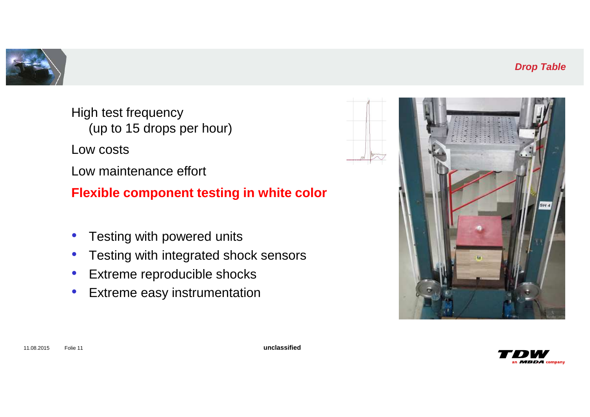



High test frequency (up to 15 drops per hour)Low costs Low maintenance effort**Flexible component testing in white color**

- 
- •Testing with powered units
- $\bullet$ Testing with integrated shock sensors
- $\bullet$ Extreme reproducible shocks
- $\bullet$ Extreme easy instrumentation

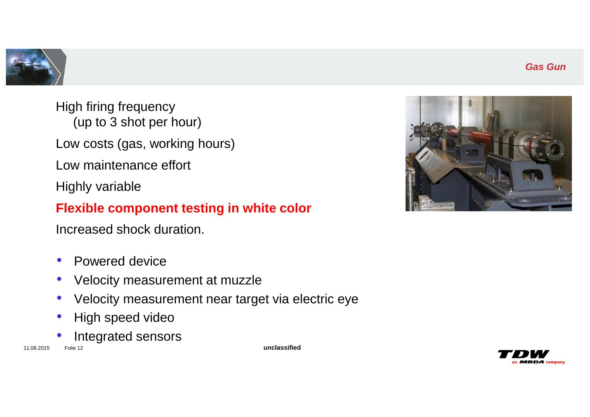



High firing frequency (up to 3 shot per hour)Low costs (gas, working hours)Low maintenance effortHighly variable

### **Flexible component testing in white color**

Increased shock duration.

- $\bullet$ Powered device
- $\bullet$ Velocity measurement at muzzle
- Velocity measurement near target via electric eye $\bullet$
- $\bullet$ High speed video
- •Integrated sensors

11.08.2015 Folie 12



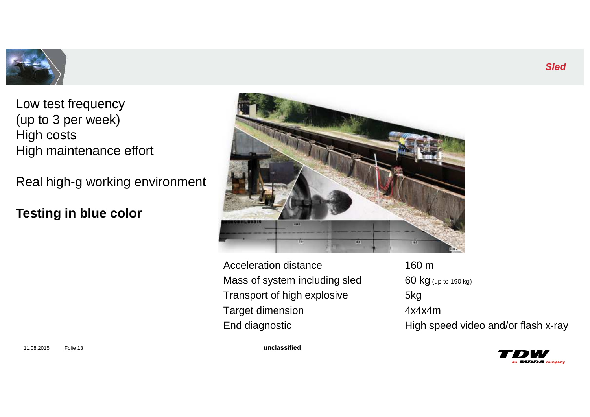

Low test frequency (up to 3 per week)High costsHigh maintenance effort

Real high-g working environment

**Testing in blue color**



Acceleration distance 160 m Mass of system including sled Transport of high explosive 5kg Target dimension

 $\boldsymbol{g}$  (up to 190 kg)  $4x4x4m$ End diagnostic High speed video and/or flash x-ray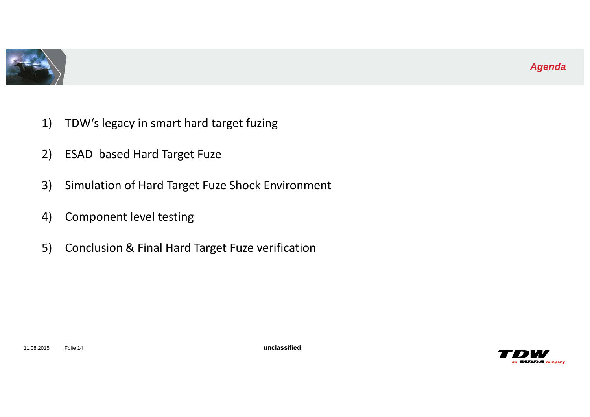

- 1) TDW's legacy in smart hard target fuzing
- 2) ESAD based Hard Target Fuze
- 3) Simulation of Hard Target Fuze Shock Environment
- 4) Component level testing
- 5) Conclusion & Final Hard Target Fuze verification

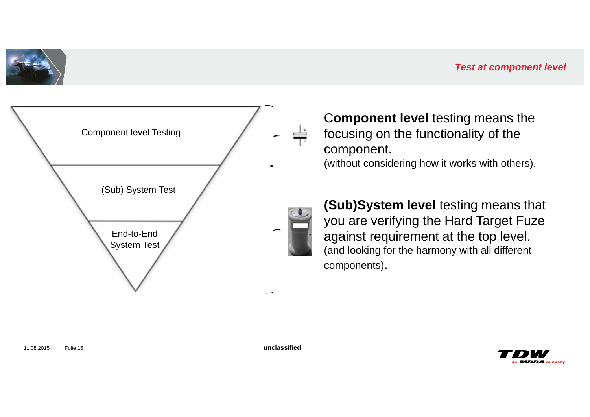





C**omponent level** testing means the focusing on the functionality of the component. (without considering how it works with others).



**(Sub)System level** testing means that you are verifying the Hard Target Fuze against requirement at the top level. (and looking for the harmony with all different components).

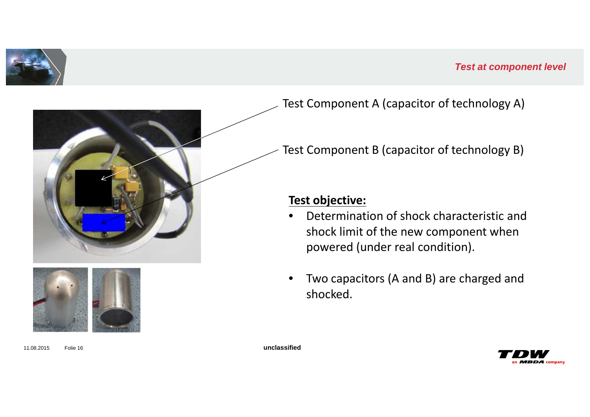





Test Component A (capacitor of technology A)

Test Component B (capacitor of technology B)

### **Test objective:**

- • Determination of shock characteristic and shock limit of the new component when powered (under real condition).
- • Two capacitors (A and B) are charged and shocked.

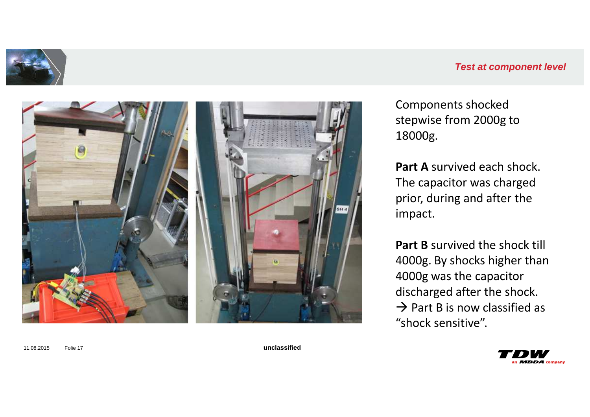

#### **Test at component level**



Components shocked stepwise from 2000g to 18000g.

**Part A** survived each shock. The capacitor was charged prior, during and after the impact.

**Part B** survived the shock till 4000g. By shocks higher than 4000g was the capacitor discharged after the shock. $\rightarrow$  Part B is now classified as<br>"shock sensitive" "shock sensitive".

an  $MBDA$  company

11.08.2015 Folie 17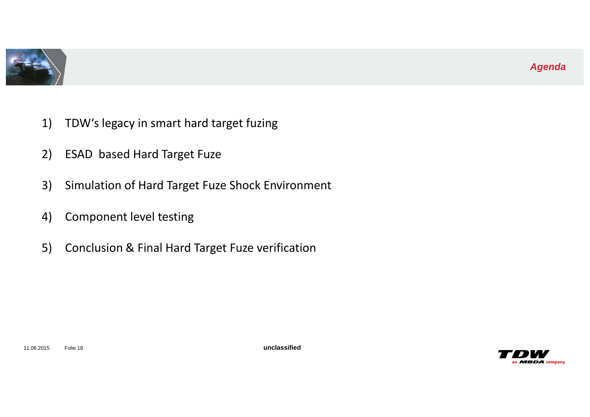

- 1) TDW's legacy in smart hard target fuzing
- 2) ESAD based Hard Target Fuze
- 3) Simulation of Hard Target Fuze Shock Environment
- 4) Component level testing
- 5) Conclusion & Final Hard Target Fuze verification

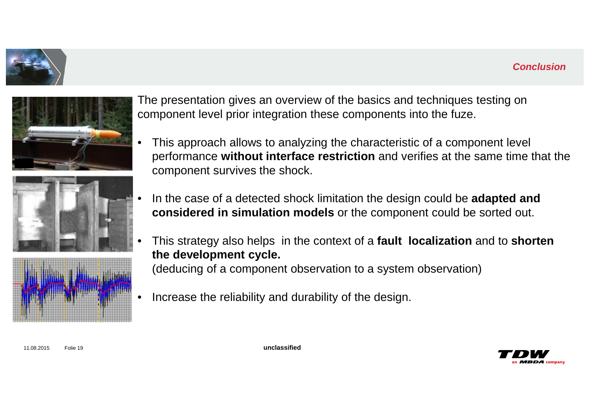#### **Conclusion**









The presentation gives an overview of the basics and techniques testing on component level prior integration these components into the fuze.

- • This approach allows to analyzing the characteristic of a component level performance **without interface restriction** and verifies at the same time that the component survives the shock.
- • In the case of a detected shock limitation the design could be **adapted and considered in simulation models** or the component could be sorted out.
- • This strategy also helps in the context of a **fault localization** and to **shorten the development cycle.**

(deducing of a component observation to a system observation)

•Increase the reliability and durability of the design.